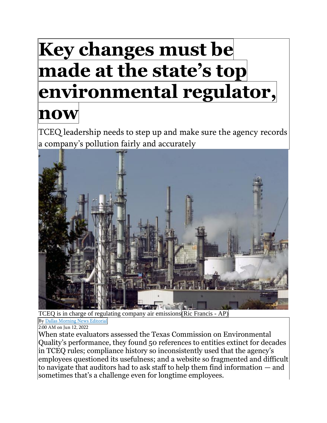## **Key changes must be made at the state's top environmental regulator, now**

TCEQ leadership needs to step up and make sure the agency records a company's pollution fairly and accurately



T[CEQ is in charge of regula](https://www.dallasnews.com/author/dallas-morning-news-editorial/)ting company air emissions(Ric Francis - AP)

By Dallas [Morning](https://www.dallasnews.com/author/dallas-morning-news-editorial/) News Editorial

2:00 AM on Jun 12, 2022

When state evaluators assessed the Texas Commission on Environmental Quality's performance, they found 50 references to entities extinct for decades in TCEQ rules; compliance history so inconsistently used that the agency's employees questioned its usefulness; and a website so fragmented and difficult to navigate that auditors had to ask staff to help them find information — and sometimes that's a challenge even for longtime employees.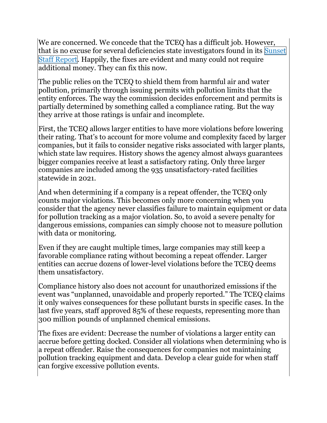We are concerned. We concede that the TCEQ has a difficult job. However, that is no excuse for several deficiencies state investigators found in its [Sunset](https://www.sunset.texas.gov/public/uploads/2022-05/Texas%20Commission%20on%20Environmental%20Quality%20Staff%20Report_5-25-22.pdf) Staff [Report.](https://www.sunset.texas.gov/public/uploads/2022-05/Texas%20Commission%20on%20Environmental%20Quality%20Staff%20Report_5-25-22.pdf) Happily, the fixes are evident and many could not require additional money. They can fix this now.

The public relies on the TCEQ to shield them from harmful air and water pollution, primarily through issuing permits with pollution limits that the entity enforces. The way the commission decides enforcement and permits is partially determined by something called a compliance rating. But the way they arrive at those ratings is unfair and incomplete.

First, the TCEQ allows larger entities to have more violations before lowering their rating. That's to account for more volume and complexity faced by larger companies, but it fails to consider negative risks associated with larger plants, which state law requires. History shows the agency almost always guarantees bigger companies receive at least a satisfactory rating. Only three larger companies are included among the 935 unsatisfactory-rated facilities statewide in 2021.

And when determining if a company is a repeat offender, the TCEQ only counts major violations. This becomes only more concerning when you consider that the agency never classifies failure to maintain equipment or data for pollution tracking as a major violation. So, to avoid a severe penalty for dangerous emissions, companies can simply choose not to measure pollution with data or monitoring.

Even if they are caught multiple times, large companies may still keep a favorable compliance rating without becoming a repeat offender. Larger entities can accrue dozens of lower-level violations before the TCEQ deems them unsatisfactory.

Compliance history also does not account for unauthorized emissions if the event was "unplanned, unavoidable and properly reported." The TCEQ claims it only waives consequences for these pollutant bursts in specific cases. In the last five years, staff approved 85% of these requests, representing more than 300 million pounds of unplanned chemical emissions.

The fixes are evident: Decrease the number of violations a larger entity can accrue before getting docked. Consider all violations when determining who is a repeat offender. Raise the consequences for companies not maintaining pollution tracking equipment and data. Develop a clear guide for when staff can forgive excessive pollution events.